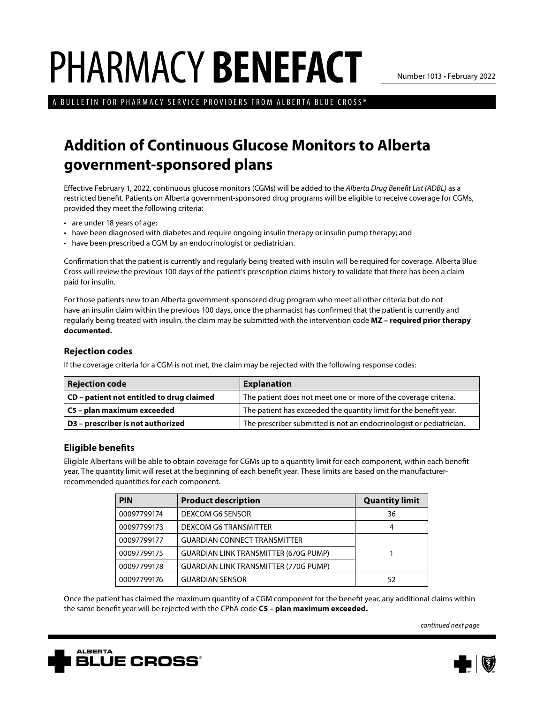# PHARMACY **BENEFACT**

Number 1013 • February 2022

A BULLETIN FOR PHARMACY SERVICE PROVIDERS FROM ALBERTA BLUE CROSS®

## **Addition of Continuous Glucose Monitors to Alberta government-sponsored plans**

Effective February 1, 2022, continuous glucose monitors (CGMs) will be added to the *Alberta Drug Benefit List (ADBL)* as a restricted benefit. Patients on Alberta government-sponsored drug programs will be eligible to receive coverage for CGMs, provided they meet the following criteria:

- are under 18 years of age;
- have been diagnosed with diabetes and require ongoing insulin therapy or insulin pump therapy; and
- have been prescribed a CGM by an endocrinologist or pediatrician.

Confirmation that the patient is currently and regularly being treated with insulin will be required for coverage. Alberta Blue Cross will review the previous 100 days of the patient's prescription claims history to validate that there has been a claim paid for insulin.

For those patients new to an Alberta government-sponsored drug program who meet all other criteria but do not have an insulin claim within the previous 100 days, once the pharmacist has confirmed that the patient is currently and regularly being treated with insulin, the claim may be submitted with the intervention code **MZ – required prior therapy documented.**

#### **Rejection codes**

If the coverage criteria for a CGM is not met, the claim may be rejected with the following response codes:

| <b>Rejection code</b>                     | <b>Explanation</b>                                                  |
|-------------------------------------------|---------------------------------------------------------------------|
| CD - patient not entitled to drug claimed | The patient does not meet one or more of the coverage criteria.     |
| C5 - plan maximum exceeded                | The patient has exceeded the quantity limit for the benefit year.   |
| D3 - prescriber is not authorized         | The prescriber submitted is not an endocrinologist or pediatrician. |

#### **Eligible benefits**

Eligible Albertans will be able to obtain coverage for CGMs up to a quantity limit for each component, within each benefit year. The quantity limit will reset at the beginning of each benefit year. These limits are based on the manufacturerrecommended quantities for each component.

| <b>PIN</b>  | <b>Product description</b>                   | <b>Quantity limit</b> |
|-------------|----------------------------------------------|-----------------------|
| 00097799174 | DEXCOM G6 SENSOR                             | 36                    |
| 00097799173 | DEXCOM G6 TRANSMITTER                        | 4                     |
| 00097799177 | <b>GUARDIAN CONNECT TRANSMITTER</b>          |                       |
| 00097799175 | <b>GUARDIAN LINK TRANSMITTER (670G PUMP)</b> |                       |
| 00097799178 | <b>GUARDIAN LINK TRANSMITTER (770G PUMP)</b> |                       |
| 00097799176 | <b>GUARDIAN SENSOR</b>                       | 52                    |

Once the patient has claimed the maximum quantity of a CGM component for the benefit year, any additional claims within the same benefit year will be rejected with the CPhA code **C5 – plan maximum exceeded.**

*continued next page*



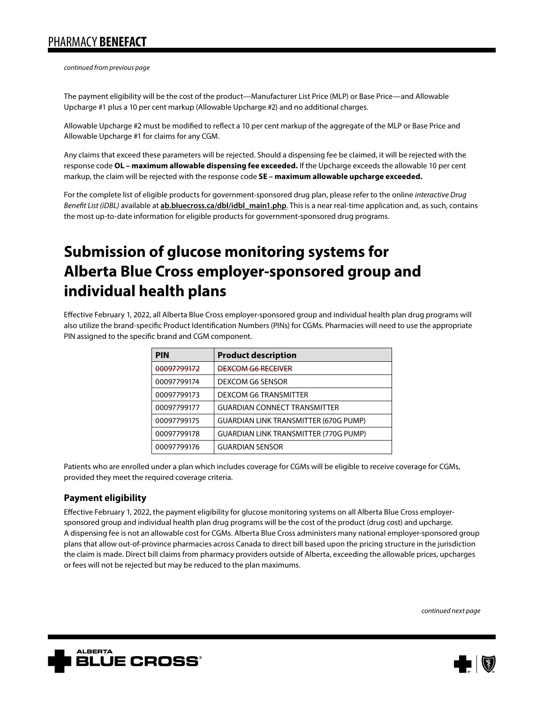*continued from previous page*

The payment eligibility will be the cost of the product—Manufacturer List Price (MLP) or Base Price—and Allowable Upcharge #1 plus a 10 per cent markup (Allowable Upcharge #2) and no additional charges.

Allowable Upcharge #2 must be modified to reflect a 10 per cent markup of the aggregate of the MLP or Base Price and Allowable Upcharge #1 for claims for any CGM.

Any claims that exceed these parameters will be rejected. Should a dispensing fee be claimed, it will be rejected with the response code **OL – maximum allowable dispensing fee exceeded.** If the Upcharge exceeds the allowable 10 per cent markup, the claim will be rejected with the response code **SE – maximum allowable upcharge exceeded.**

For the complete list of eligible products for government-sponsored drug plan, please refer to the online *interactive Drug Benefit List (iDBL)* available at **[ab.bluecross.ca/dbl/idbl\\_main1.php](https://ab.bluecross.ca/dbl/idbl_main1.php)**. This is a near real-time application and, as such, contains the most up-to-date information for eligible products for government-sponsored drug programs.

## **Submission of glucose monitoring systems for Alberta Blue Cross employer-sponsored group and individual health plans**

Effective February 1, 2022, all Alberta Blue Cross employer-sponsored group and individual health plan drug programs will also utilize the brand-specific Product Identification Numbers (PINs) for CGMs. Pharmacies will need to use the appropriate PIN assigned to the specific brand and CGM component.

| <b>PIN</b>  | <b>Product description</b>                   |
|-------------|----------------------------------------------|
| 00097799172 | <b>DEXCOM G6 RECEIVER</b>                    |
| 00097799174 | DEXCOM G6 SENSOR                             |
| 00097799173 | <b>DEXCOM G6 TRANSMITTER</b>                 |
| 00097799177 | <b>GUARDIAN CONNECT TRANSMITTER</b>          |
| 00097799175 | <b>GUARDIAN LINK TRANSMITTER (670G PUMP)</b> |
| 00097799178 | <b>GUARDIAN LINK TRANSMITTER (770G PUMP)</b> |
| 00097799176 | <b>GUARDIAN SENSOR</b>                       |

Patients who are enrolled under a plan which includes coverage for CGMs will be eligible to receive coverage for CGMs, provided they meet the required coverage criteria.

### **Payment eligibility**

Effective February 1, 2022, the payment eligibility for glucose monitoring systems on all Alberta Blue Cross employersponsored group and individual health plan drug programs will be the cost of the product (drug cost) and upcharge. A dispensing fee is not an allowable cost for CGMs. Alberta Blue Cross administers many national employer-sponsored group plans that allow out-of-province pharmacies across Canada to direct bill based upon the pricing structure in the jurisdiction the claim is made. Direct bill claims from pharmacy providers outside of Alberta, exceeding the allowable prices, upcharges or fees will not be rejected but may be reduced to the plan maximums.

*continued next page*